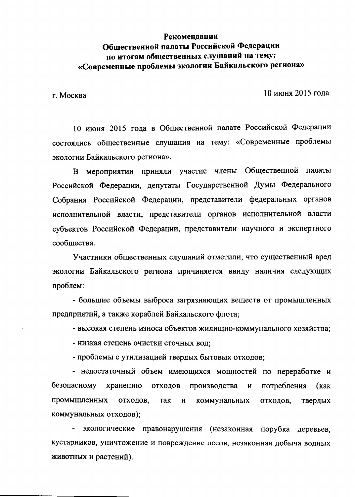#### Рекомендации Общественной палаты Российской Федерации по итогам общественных слушаний на тему: «Современные проблемы экологии Байкальского региона»

г. Москва

10 июня 2015 гола

10 июня 2015 года в Общественной палате Российской Федерации состоялись общественные слушания на тему: «Современные проблемы экологии Байкальского региона».

В мероприятии приняли участие члены Общественной палаты Российской Федерации, депутаты Государственной Думы Федерального Собрания Российской Федерации, представители федеральных органов исполнительной власти, представители органов исполнительной власти субъектов Российской Федерации, представители научного и экспертного сообщества.

Участники общественных слушаний отметили, что существенный вред экологии Байкальского региона причиняется ввиду наличия следующих проблем:

- большие объемы выброса загрязняющих веществ от промышленных предприятий, а также кораблей Байкальского флота;

- высокая степень износа объектов жилищно-коммунального хозяйства;

- низкая степень очистки сточных вод;

- проблемы с утилизацией твердых бытовых отходов;

- недостаточный объем имеющихся мощностей по переработке и хранению безопасному **ОТХОДОВ** производства  $\mathbf{M}$ потребления  $(\kappa a \kappa)$ промышленных отходов, так  $\mathbf{H}$ коммунальных отходов, твердых коммунальных отходов);

- экологические правонарушения (незаконная порубка деревьев, кустарников, уничтожение и повреждение лесов, незаконная добыча водных животных и растений).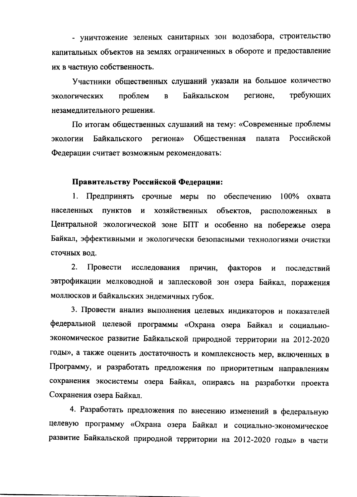- уничтожение зеленых санитарных зон водозабора, строительство капитальных объектов на землях ограниченных в обороте и предоставление их в частную собственность.

Участники общественных слушаний указали на большое количество требующих Байкальском регионе, проблем экологических  $\overline{B}$ незамедлительного решения.

По итогам общественных слушаний на тему: «Современные проблемы Российской Байкальского Общественная палата экологии региона» Федерации считает возможным рекомендовать:

#### Правительству Российской Федерации:

1. Предпринять срочные меры по обеспечению 100% охвата населенных ПУНКТОВ И хозяйственных объектов, расположенных  $\mathbf{B}$ Центральной экологической зоне БПТ и особенно на побережье озера Байкал, эффективными и экологически безопасными технологиями очистки сточных вол.

 $2.$ Провести исследования причин, факторов И последствий эвтрофикации мелководной и заплесковой зон озера Байкал, поражения моллюсков и байкальских эндемичных губок.

3. Провести анализ выполнения целевых индикаторов и показателей федеральной целевой программы «Охрана озера Байкал и социальноэкономическое развитие Байкальской природной территории на 2012-2020 годы», а также оценить достаточность и комплексность мер, включенных в Программу, и разработать предложения по приоритетным направлениям сохранения экосистемы озера Байкал, опираясь на разработки проекта Сохранения озера Байкал.

4. Разработать предложения по внесению изменений в федеральную целевую программу «Охрана озера Байкал и социально-экономическое развитие Байкальской природной территории на 2012-2020 годы» в части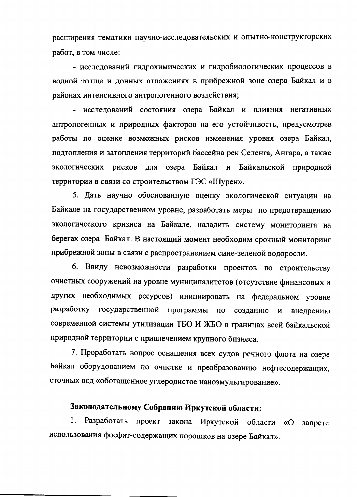расширения тематики научно-исследовательских и опытно-конструкторских работ, в том числе:

- исследований гидрохимических и гидробиологических процессов в водной толще и донных отложениях в прибрежной зоне озера Байкал и в районах интенсивного антропогенного воздействия;

- исследований состояния озера Байкал и влияния негативных антропогенных и природных факторов на его устойчивость, предусмотрев работы по оценке возможных рисков изменения уровня озера Байкал, подтопления и затопления территорий бассейна рек Селенга, Ангара, а также экологических рисков для озера Байкал и Байкальской природной территории в связи со строительством ГЭС «Шурен».

5. Дать научно обоснованную оценку экологической ситуации на Байкале на государственном уровне, разработать меры по предотвращению экологического кризиса на Байкале, наладить систему мониторинга на берегах озера Байкал. В настоящий момент необходим срочный мониторинг прибрежной зоны в связи с распространением сине-зеленой водоросли.

6. Ввиду невозможности разработки проектов по строительству очистных сооружений на уровне муниципалитетов (отсутствие финансовых и других необходимых ресурсов) инициировать на федеральном уровне разработку государственной программы по созданию  $\boldsymbol{\mathsf{N}}$ внедрению современной системы утилизации ТБО И ЖБО в границах всей байкальской природной территории с привлечением крупного бизнеса.

7. Проработать вопрос оснащения всех судов речного флота на озере Байкал оборудованием по очистке и преобразованию нефтесодержащих, сточных вод «обогащенное углеродистое наноэмульгирование».

### Законодательному Собранию Иркутской области:

Разработать проект закона Иркутской области «О 1. запрете использования фосфат-содержащих порошков на озере Байкал».